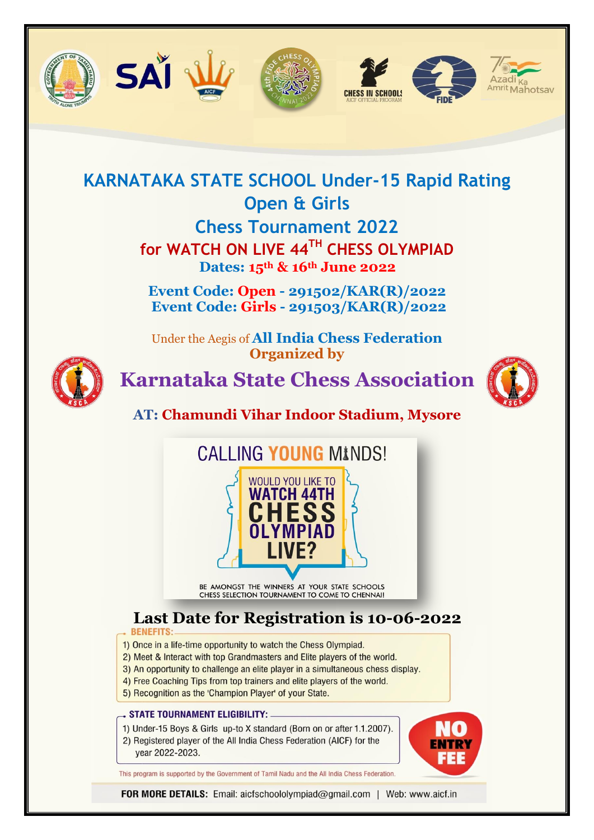









## **KARNATAKA STATE SCHOOL Under-15 Rapid Rating Open & Girls Chess Tournament 2022**

**for WATCH ON LIVE 44TH CHESS OLYMPIAD Dates: 15th & 16th June 2022**

**Event Code: Open - 291502/KAR(R)/2022 Event Code: Girls - 291503/KAR(R)/2022**

Under the Aegis of **All India Chess Federation Organized by**



**Karnataka State Chess Association** 



**AT: Chamundi Vihar Indoor Stadium, Mysore**



BE AMONGST THE WINNERS AT YOUR STATE SCHOOLS<br>CHESS SELECTION TOURNAMENT TO COME TO CHENNAI!

# **Last Date for Registration is 10-06-2022**

- 1) Once in a life-time opportunity to watch the Chess Olympiad.
- 2) Meet & Interact with top Grandmasters and Elite players of the world.
- 3) An opportunity to challenge an elite player in a simultaneous chess display.
- 4) Free Coaching Tips from top trainers and elite players of the world.
- 5) Recognition as the 'Champion Player' of your State.

#### STATE TOURNAMENT ELIGIBILITY:

- 1) Under-15 Boys & Girls up-to X standard (Born on or after 1.1.2007).
- 2) Registered player of the All India Chess Federation (AICF) for the year 2022-2023.



This program is supported by the Government of Tamil Nadu and the All India Chess Federation.

FOR MORE DETAILS: Email: aicfschoololympiad@gmail.com | Web: www.aicf.in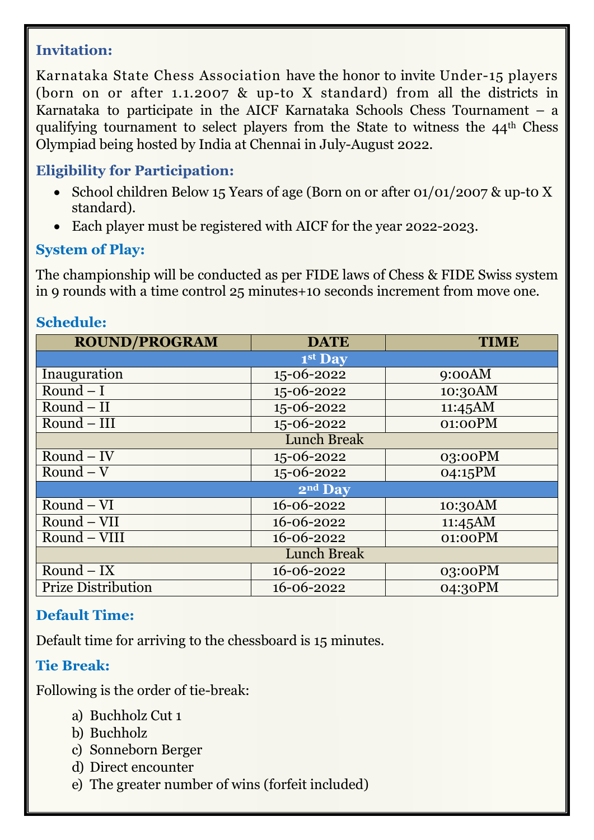#### **Invitation:**

Karnataka State Chess Association have the honor to invite Under-15 players (born on or after 1.1.2007 & up-to X standard) from all the districts in Karnataka to participate in the AICF Karnataka Schools Chess Tournament – a qualifying tournament to select players from the State to witness the 44th Chess Olympiad being hosted by India at Chennai in July-August 2022.

#### **Eligibility for Participation:**

- School children Below 15 Years of age (Born on or after 01/01/2007 & up-to X standard).
- Each player must be registered with AICF for the year 2022-2023.

#### **System of Play:**

The championship will be conducted as per FIDE laws of Chess & FIDE Swiss system in 9 rounds with a time control 25 minutes+10 seconds increment from move one.

#### **Schedule:**

| <b>ROUND/PROGRAM</b>      | <b>DATE</b> | <b>TIME</b> |  |  |
|---------------------------|-------------|-------------|--|--|
|                           | 1st Day     |             |  |  |
| Inauguration              | 15-06-2022  | 9:00AM      |  |  |
| Round $-I$                | 15-06-2022  | 10:30AM     |  |  |
| $Round - II$              | 15-06-2022  | 11:45AM     |  |  |
| $Round - III$             | 15-06-2022  | 01:00PM     |  |  |
| <b>Lunch Break</b>        |             |             |  |  |
| $Round - IV$              | 15-06-2022  | 03:00PM     |  |  |
| $Round - V$               | 15-06-2022  | 04:15PM     |  |  |
| 2nd Day                   |             |             |  |  |
| $Round - VI$              | 16-06-2022  | 10:30AM     |  |  |
| Round - VII               | 16-06-2022  | 11:45AM     |  |  |
| Round - VIII              | 16-06-2022  | 01:00PM     |  |  |
| <b>Lunch Break</b>        |             |             |  |  |
| $Round - IX$              | 16-06-2022  | $03:00$ PM  |  |  |
| <b>Prize Distribution</b> | 16-06-2022  | 04:30PM     |  |  |

### **Default Time:**

Default time for arriving to the chessboard is 15 minutes.

#### **Tie Break:**

Following is the order of tie-break:

- a) Buchholz Cut 1
- b) Buchholz
- c) Sonneborn Berger
- d) Direct encounter
- e) The greater number of wins (forfeit included)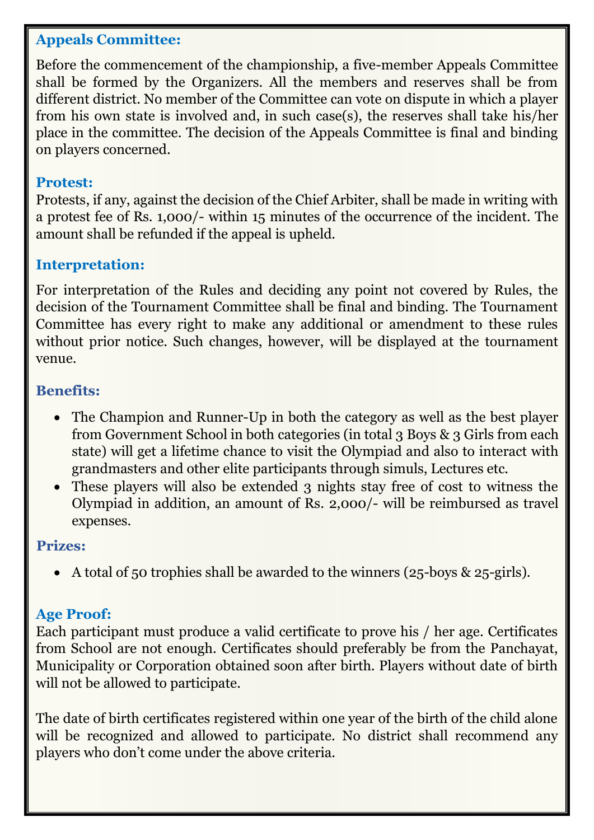#### **Appeals Committee:**

Before the commencement of the championship, a five-member Appeals Committee shall be formed by the Organizers. All the members and reserves shall be from different district. No member of the Committee can vote on dispute in which a player from his own state is involved and, in such case(s), the reserves shall take his/her place in the committee. The decision of the Appeals Committee is final and binding on players concerned.

#### **Protest:**

Protests, if any, against the decision of the Chief Arbiter, shall be made in writing with a protest fee of Rs. 1,000/- within 15 minutes of the occurrence of the incident. The amount shall be refunded if the appeal is upheld.

#### **Interpretation:**

For interpretation of the Rules and deciding any point not covered by Rules, the decision of the Tournament Committee shall be final and binding. The Tournament Committee has every right to make any additional or amendment to these rules without prior notice. Such changes, however, will be displayed at the tournament venue.

#### **Benefits:**

- The Champion and Runner-Up in both the category as well as the best player from Government School in both categories (in total 3 Boys & 3 Girls from each state) will get a lifetime chance to visit the Olympiad and also to interact with grandmasters and other elite participants through simuls, Lectures etc.
- These players will also be extended 3 nights stay free of cost to witness the Olympiad in addition, an amount of Rs. 2,000/- will be reimbursed as travel expenses.

#### **Prizes:**

A total of 50 trophies shall be awarded to the winners (25-boys & 25-girls).

#### **Age Proof:**

Each participant must produce a valid certificate to prove his / her age. Certificates from School are not enough. Certificates should preferably be from the Panchayat, Municipality or Corporation obtained soon after birth. Players without date of birth will not be allowed to participate.

The date of birth certificates registered within one year of the birth of the child alone will be recognized and allowed to participate. No district shall recommend any players who don't come under the above criteria.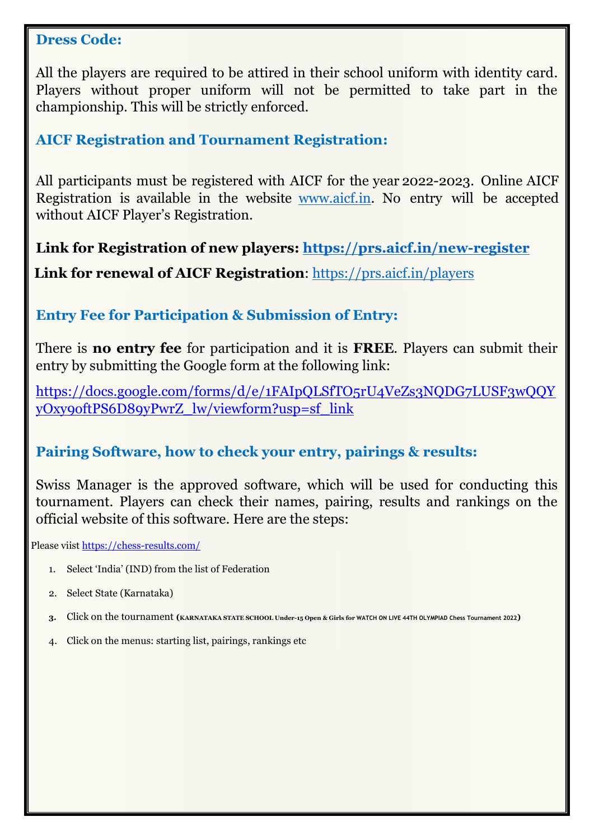#### **Dress Code:**

All the players are required to be attired in their school uniform with identity card. Players without proper uniform will not be permitted to take part in the championship. This will be strictly enforced.

#### **AICF Registration and Tournament Registration:**

All participants must be registered with AICF for the year 2022-2023. Online AICF Registration is available in the website [www.aicf.in.](http://www.aicf.in/) No entry will be accepted without AICF Player's Registration.

**Link for Registration of new players:<https://prs.aicf.in/new-register>**

**Link for renewal of AICF Registration**:<https://prs.aicf.in/players>

#### **Entry Fee for Participation & Submission of Entry:**

There is **no entry fee** for participation and it is **FREE**. Players can submit their entry by submitting the Google form at the following link:

[https://docs.google.com/forms/d/e/1FAIpQLSfTO5rU4VeZs3NQDG7LUSF3wQQY](https://docs.google.com/forms/d/e/1FAIpQLSfTO5rU4VeZs3NQDG7LUSF3wQQYyOxy9oftPS6D89yPwrZ_lw/viewform?usp=sf_link) [yOxy9oftPS6D89yPwrZ\\_lw/viewform?usp=sf\\_link](https://docs.google.com/forms/d/e/1FAIpQLSfTO5rU4VeZs3NQDG7LUSF3wQQYyOxy9oftPS6D89yPwrZ_lw/viewform?usp=sf_link)

#### **Pairing Software, how to check your entry, pairings & results:**

Swiss Manager is the approved software, which will be used for conducting this tournament. Players can check their names, pairing, results and rankings on the official website of this software. Here are the steps:

Please viist<https://chess-results.com/>

- 1. Select 'India' (IND) from the list of Federation
- 2. Select State (Karnataka)
- **3.** Click on the tournament **(KARNATAKA STATE SCHOOL Under-15 Open & Girls for WATCH ON LIVE 44TH OLYMPIAD Chess Tournament 2022)**
- 4. Click on the menus: starting list, pairings, rankings etc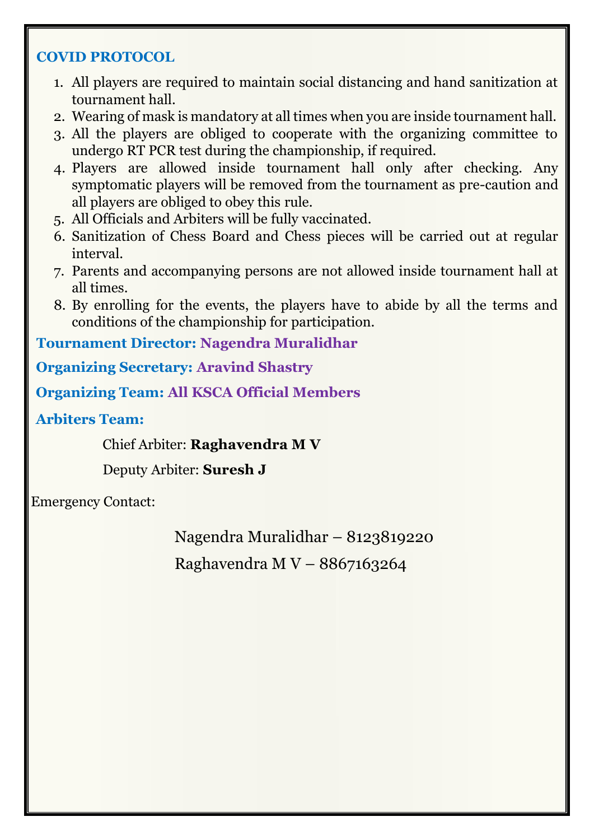#### **COVID PROTOCOL**

- 1. All players are required to maintain social distancing and hand sanitization at tournament hall.
- 2. Wearing of mask is mandatory at all times when you are inside tournament hall.
- 3. All the players are obliged to cooperate with the organizing committee to undergo RT PCR test during the championship, if required.
- 4. Players are allowed inside tournament hall only after checking. Any symptomatic players will be removed from the tournament as pre-caution and all players are obliged to obey this rule.
- 5. All Officials and Arbiters will be fully vaccinated.
- 6. Sanitization of Chess Board and Chess pieces will be carried out at regular interval.
- 7. Parents and accompanying persons are not allowed inside tournament hall at all times.
- 8. By enrolling for the events, the players have to abide by all the terms and conditions of the championship for participation.

**Tournament Director: Nagendra Muralidhar**

**Organizing Secretary: Aravind Shastry**

**Organizing Team: All KSCA Official Members**

**Arbiters Team:**

Chief Arbiter: **Raghavendra M V**

Deputy Arbiter: **Suresh J**

Emergency Contact:

Nagendra Muralidhar – 8123819220 Raghavendra M V – 8867163264